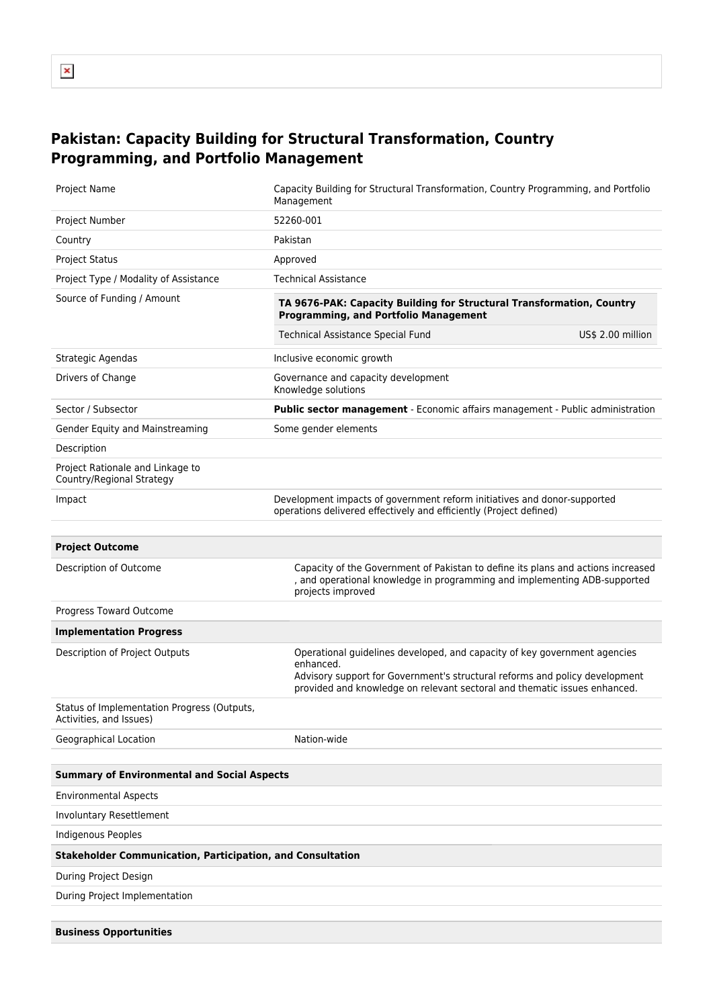## **Pakistan: Capacity Building for Structural Transformation, Country Programming, and Portfolio Management**

| Project Name                                                           | Capacity Building for Structural Transformation, Country Programming, and Portfolio<br>Management                                                                                                                                                  |  |  |  |  |  |
|------------------------------------------------------------------------|----------------------------------------------------------------------------------------------------------------------------------------------------------------------------------------------------------------------------------------------------|--|--|--|--|--|
| Project Number                                                         | 52260-001                                                                                                                                                                                                                                          |  |  |  |  |  |
| Country                                                                | Pakistan                                                                                                                                                                                                                                           |  |  |  |  |  |
| <b>Project Status</b>                                                  | Approved                                                                                                                                                                                                                                           |  |  |  |  |  |
| Project Type / Modality of Assistance                                  | <b>Technical Assistance</b>                                                                                                                                                                                                                        |  |  |  |  |  |
| Source of Funding / Amount                                             | TA 9676-PAK: Capacity Building for Structural Transformation, Country<br><b>Programming, and Portfolio Management</b>                                                                                                                              |  |  |  |  |  |
|                                                                        | Technical Assistance Special Fund<br>US\$ 2.00 million                                                                                                                                                                                             |  |  |  |  |  |
| Strategic Agendas                                                      | Inclusive economic growth                                                                                                                                                                                                                          |  |  |  |  |  |
| Drivers of Change                                                      | Governance and capacity development<br>Knowledge solutions                                                                                                                                                                                         |  |  |  |  |  |
| Sector / Subsector                                                     | Public sector management - Economic affairs management - Public administration                                                                                                                                                                     |  |  |  |  |  |
| Gender Equity and Mainstreaming                                        | Some gender elements                                                                                                                                                                                                                               |  |  |  |  |  |
| Description                                                            |                                                                                                                                                                                                                                                    |  |  |  |  |  |
| Project Rationale and Linkage to<br>Country/Regional Strategy          |                                                                                                                                                                                                                                                    |  |  |  |  |  |
| Impact                                                                 | Development impacts of government reform initiatives and donor-supported<br>operations delivered effectively and efficiently (Project defined)                                                                                                     |  |  |  |  |  |
|                                                                        |                                                                                                                                                                                                                                                    |  |  |  |  |  |
| <b>Project Outcome</b>                                                 |                                                                                                                                                                                                                                                    |  |  |  |  |  |
| Description of Outcome                                                 | Capacity of the Government of Pakistan to define its plans and actions increased<br>and operational knowledge in programming and implementing ADB-supported<br>projects improved                                                                   |  |  |  |  |  |
| Progress Toward Outcome                                                |                                                                                                                                                                                                                                                    |  |  |  |  |  |
| <b>Implementation Progress</b>                                         |                                                                                                                                                                                                                                                    |  |  |  |  |  |
| Description of Project Outputs                                         | Operational guidelines developed, and capacity of key government agencies<br>enhanced.<br>Advisory support for Government's structural reforms and policy development<br>provided and knowledge on relevant sectoral and thematic issues enhanced. |  |  |  |  |  |
| Status of Implementation Progress (Outputs,<br>Activities, and Issues) |                                                                                                                                                                                                                                                    |  |  |  |  |  |
| Geographical Location                                                  | Nation-wide                                                                                                                                                                                                                                        |  |  |  |  |  |
|                                                                        |                                                                                                                                                                                                                                                    |  |  |  |  |  |
| <b>Summary of Environmental and Social Aspects</b>                     |                                                                                                                                                                                                                                                    |  |  |  |  |  |
| <b>Environmental Aspects</b>                                           |                                                                                                                                                                                                                                                    |  |  |  |  |  |
| Involuntary Resettlement                                               |                                                                                                                                                                                                                                                    |  |  |  |  |  |
| <b>Indigenous Peoples</b>                                              |                                                                                                                                                                                                                                                    |  |  |  |  |  |
| <b>Stakeholder Communication, Participation, and Consultation</b>      |                                                                                                                                                                                                                                                    |  |  |  |  |  |
| During Project Design                                                  |                                                                                                                                                                                                                                                    |  |  |  |  |  |
|                                                                        |                                                                                                                                                                                                                                                    |  |  |  |  |  |
| During Project Implementation                                          |                                                                                                                                                                                                                                                    |  |  |  |  |  |
| <b>Business Opportunities</b>                                          |                                                                                                                                                                                                                                                    |  |  |  |  |  |